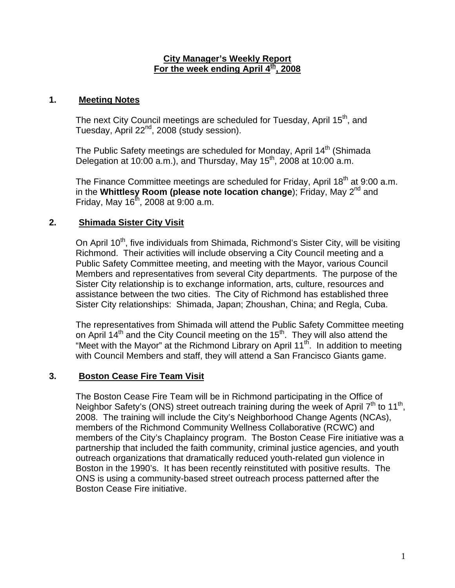## **City Manager's Weekly Report** For the week ending April 4<sup>th</sup>, 2008

## **1. Meeting Notes**

The next City Council meetings are scheduled for Tuesday, April 15<sup>th</sup>, and Tuesday, April 22<sup>nd</sup>, 2008 (study session).

The Public Safety meetings are scheduled for Monday, April 14<sup>th</sup> (Shimada Delegation at  $10:00$  a.m.), and Thursday, May  $15<sup>th</sup>$ , 2008 at 10:00 a.m.

The Finance Committee meetings are scheduled for Friday, April  $18<sup>th</sup>$  at 9:00 a.m. in the **Whittlesy Room (please note location change**); Friday, May 2<sup>nd</sup> and Friday, May  $16^{th}$ , 2008 at 9:00 a.m.

## **2. Shimada Sister City Visit**

On April 10<sup>th</sup>, five individuals from Shimada, Richmond's Sister City, will be visiting Richmond. Their activities will include observing a City Council meeting and a Public Safety Committee meeting, and meeting with the Mayor, various Council Members and representatives from several City departments. The purpose of the Sister City relationship is to exchange information, arts, culture, resources and assistance between the two cities. The City of Richmond has established three Sister City relationships: Shimada, Japan; Zhoushan, China; and Regla, Cuba.

The representatives from Shimada will attend the Public Safety Committee meeting on April 14<sup>th</sup> and the City Council meeting on the 15<sup>th</sup>. They will also attend the "Meet with the Mayor" at the Richmond Library on April  $11<sup>th</sup>$ . In addition to meeting with Council Members and staff, they will attend a San Francisco Giants game.

## **3. Boston Cease Fire Team Visit**

The Boston Cease Fire Team will be in Richmond participating in the Office of Neighbor Safety's (ONS) street outreach training during the week of April  $7<sup>th</sup>$  to 11<sup>th</sup>, 2008. The training will include the City's Neighborhood Change Agents (NCAs), members of the Richmond Community Wellness Collaborative (RCWC) and members of the City's Chaplaincy program. The Boston Cease Fire initiative was a partnership that included the faith community, criminal justice agencies, and youth outreach organizations that dramatically reduced youth-related gun violence in Boston in the 1990's. It has been recently reinstituted with positive results. The ONS is using a community-based street outreach process patterned after the Boston Cease Fire initiative.